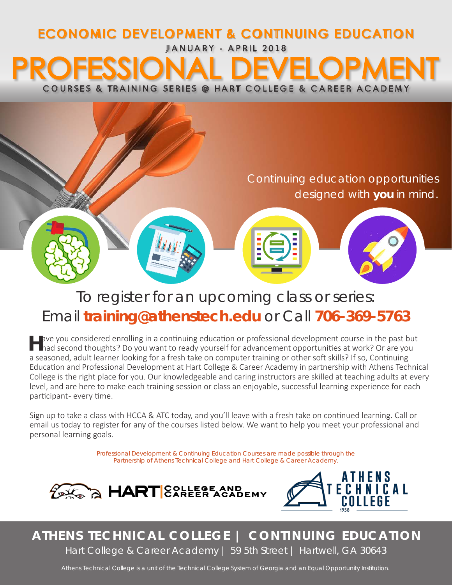# JANUARY - APRIL 2018 ECONOMIC DEVELOPMENT & CONTINUING EDUCATION COURSES & TRAINING SERIES @ HART COLLEGE & CAREER ACADEMY



# To register for an upcoming class or series: Email **training@athenstech.edu** or Call **706-369-5763**

H ave you considered enrolling in a continuing education or professional development course in the past but<br>
had second thoughts? Do you want to ready yourself for advancement opportunities at work? Or are you a seasoned, adult learner looking for a fresh take on computer training or other soft skills? If so, Continuing Education and Professional Development at Hart College & Career Academy in partnership with Athens Technical College is the right place for you. Our knowledgeable and caring instructors are skilled at teaching adults at every level, and are here to make each training session or class an enjoyable, successful learning experience for each participant- every time.

Sign up to take a class with HCCA & ATC today, and you'll leave with a fresh take on continued learning. Call or email us today to register for any of the courses listed below. We want to help you meet your professional and personal learning goals.

> Professional Development & Continuing Education Courses are made possible through the Partnership of Athens Technical College and Hart College & Career Academy.





# **ATHENS TECHNICAL COLLEGE | CONTINUING EDUCATION** Hart College & Career Academy | 59 5th Street | Hartwell, GA 30643

Athens Technical College is a unit of the Technical College System of Georgia and an Equal Opportunity Institution.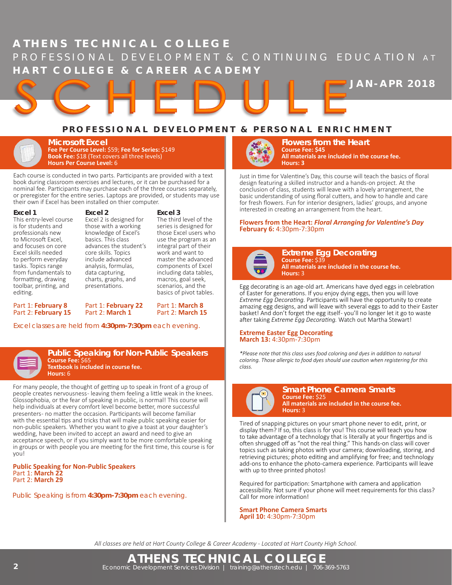# **ATHENS TECHNICAL COLLEGE** PROFESSIONAL DEVELOPMENT & CONTINUING EDUCATION AT **HART COLLEGE & CAREER ACADEMY**

# **PROFESSIONAL DEVELOPMENT & PERSONAL ENRICHMENT**

**Microsoft Excel Fee Per Course Level:** \$59; **Fee for Series:** \$149 **Book Fee:** \$18 (Text covers all three levels) **Hours Per Course Level:** 6

Each course is conducted in two parts. Participants are provided with a text book during classroom exercises and lectures, or it can be purchased for a nominal fee. Participants may purchase each of the three courses separately, or preregister for the entire series. Laptops are provided, or students may use their own if Excel has been installed on thier computer.

**Excel 2**

#### **Excel 1**

This entry-level course is for students and professionals new to Microsoft Excel, and focuses on core Excel skills needed to perform everyday tasks. Topics range from fundamentals to formatting, drawing toolbar, printing, and editing.

Excel 2 is designed for those with a working knowledge of Excel's basics. This class advances the student's core skills. Topics include advanced analysis, formulas, data capturing, charts, graphs, and presentations.

#### **Excel 3**

The third level of the series is designed for those Excel users who use the program as an integral part of their work and want to master the advanced components of Excel including data tables, macros, goal seek, scenarios, and the basics of pivot tables.

Part 1: **March 8** Part 2: **March 15**

Part 1: **February 8** Part 2: **February 15** Part 1: **February 22** Part 2: **March 1**

Excel classes are held from **4:30pm-7:30pm** each evening.



#### **Public Speaking for Non-Public Speakers Course Fee:** \$65 **Textbook is included in course fee. Hours:** 6

For many people, the thought of getting up to speak in front of a group of people creates nervousness-leaving them feeling a little weak in the knees. Glossophobia, or the fear of speaking in public, is normal! This course will help individuals at every comfort level become better, more successful presenters - no matter the occasion. Participants will become familiar with the essential tips and tricks that will make public speaking easier for non-public speakers. Whether you want to give a toast at your daughter's wedding, have been invited to accept an award and need to give an acceptance speech, or if you simply want to be more comfortable speaking in groups or with people you are meeting for the first time, this course is for you!

**Public Speaking for Non-Public Speakers** Part 1: **March 22** Part 2: **March 29**

Public Speaking is from **4:30pm-7:30pm** each evening.



**Flowers from the Heart Course Fee: \$45 All materials are included in the course fee. Hours: 3**

**JAN-APR 2018**

Just in time for Valentine's Day, this course will teach the basics of floral design featuring a skilled instructor and a hands-on project. At the conclusion of class, students will leave with a lovely arrangement, the basic understanding of using floral cutters, and how to handle and care for fresh flowers. Fun for interior designers, ladies' groups, and anyone interested in creating an arrangement from the heart.

**Flowers from the Heart:** *Floral Arranging for Valentine's Day* **February 6:** 4:30pm-7:30pm



**Extreme Egg Decorating Course Fee:** \$39 **All materials are included in the course fee. Hours:** 3

Egg decorating is an age-old art. Americans have dyed eggs in celebration of Easter for generations. If you enjoy dying eggs, then you will love *Extreme Egg Decorating.* Participants will have the opportunity to create amazing egg designs, and will leave with several eggs to add to their Easter basket! And don't forget the egg itself-you'll no longer let it go to waste after taking *Extreme Egg Decorating.* Watch out Martha Stewart!

#### **Extreme Easter Egg Decorating March 13:** 4:30pm-7:30pm

*\*Please note that this class uses food coloring and dyes in addition to natural coloring. Those allergic to food dyes should use caution when registering for this class.*



**Smart Phone Camera Smarts Course Fee:** \$25 **All materials are included in the course fee. Hours:** 3

Tired of snapping pictures on your smart phone never to edit, print, or display them? If so, this class is for you! This course will teach you how to take advantage of a technology that is literally at your fingertips and is often shrugged off as "not the real thing." This hands-on class will cover topics such as taking photos with your camera; downloading, storing, and retrieving pictures; photo editing and amplifying for free; and technology add-ons to enhance the photo-camera experience. Participants will leave with up to three printed photos!

Required for participation: Smartphone with camera and application accessibility. Not sure if your phone will meet requirements for this class? Call for more information!

**Smart Phone Camera Smarts April 10:** 4:30pm-7:30pm

*All classes are held at Hart County College & Career Academy - Located at Hart County High School.*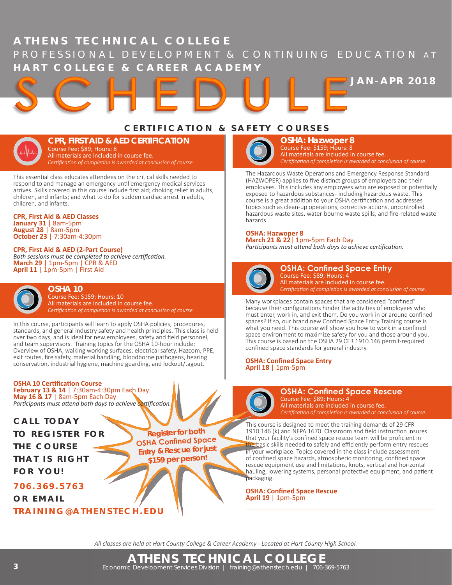# **ATHENS TECHNICAL COLLEGE** PROFESSIONAL DEVELOPMENT & CONTINUING EDUCATION AT **HART COLLEGE & CAREER ACADEMY**

**JAN-APR 2018**

# **CERTIFICATION & SAFETY COURSES**



**CPR, FIRST AID & AED CERTIFICATION** Course Fee: \$89; Hours: 8 All materials are included in course fee. *Certification of completion is awarded at conclusion of course.*

This essential class educates attendees on the critical skills needed to respond to and manage an emergency until emergency medical services arrives. Skills covered in this course include first aid; choking relief in adults, children, and infants; and what to do for sudden cardiac arrest in adults, children, and infants.

**CPR, First Aid & AED Classes**

**January 31** | 8am-5pm **August 28** | 8am-5pm **October 23** | 7:30am-4:30pm

## **CPR, First Aid & AED (2-Part Course)**

*Both sessions must be completed to achieve certification.* **March 29** | 1pm-5pm | CPR & AED **April 11** | 1pm-5pm | First Aid



**OSHA 10** Course Fee: \$159; Hours: 10 All materials are included in course fee. *Certification of completion is awarded at conclusion of course.*

In this course, participants will learn to apply OSHA policies, procedures, standards, and general industry safety and health principles. This class is held over two days, and is ideal for new employees, safety and field personnel, and team supervisors. Training topics for the OSHA 10-hour include: Overview of OSHA, walking working surfaces, electrical safety, Hazcom, PPE, exit routes, fire safety, material handling, bloodborne pathogens, hearing conservation, industrial hygiene, machine guarding, and lockout/tagout.

## **OSHA 10 Certification Course**

**February 13 & 14** | 7:30am-4:30pm Each Day **May 16 & 17** | 8am-5pm Each Day *Participants must attend both days to achieve certification.*

**CALL TODAY TO REGISTER FOR T H E C O U R S E THAT IS RIGHT FOR YOU!**

**706.369.5763**

**OR EMAIL**

**TRAINING@ATHENSTECH.EDU**



**OSHA: Hazwoper 8** Course Fee: \$159; Hours: 8 All materials are included in course fee. *Certification of completion is awarded at conclusion of course.*

The Hazardous Waste Operations and Emergency Response Standard (HAZWOPER) applies to five distinct groups of employers and their employees. This includes any employees who are exposed or potentially exposed to hazardous substances- including hazardous waste. This course is a great addition to your OSHA certification and addresses topics such as clean-up operations, corrective actions, uncontrolled hazardous waste sites, water-bourne waste spills, and fire-related waste hazards.

# **OSHA: Hazwoper 8**

**March 21 & 22**| 1pm-5pm Each Day *Participants must attend both days to achieve certification.*



**OSHA: Confined Space Entry** Course Fee: \$89; Hours: 4 All materials are included in course fee. *Certification of completion is awarded at conclusion of course.*

Many workplaces contain spaces that are considered "confined" because their configurations hinder the activities of employees who must enter, work in, and exit them. Do you work in or around confined spaces? If so, our brand new Confined Space Entry Training course is what you need. This course will show you how to work in a confined space environment to maximize safety for you and those around you. This course is based on the OSHA 29 CFR 1910.146 permit-required confined space standards for general industry.

#### **OSHA: Confined Space Entry April 18** | 1pm-5pm



**OSHA: Confined Space Rescue** Course Fee: \$89; Hours: 4 All materials are included in course fee.

*Certification of completion is awarded at conclusion of course.* This course is designed to meet the training demands of 29 CFR 1910.146 (k) and NFPA 1670. Classroom and field instruction insures that your facility's confined space rescue team will be proficient in the basic skills needed to safely and efficiently perform entry rescues in your workplace. Topics covered in the class include assessment of confined space hazards, atmospheric monitoring, confined space rescue equipment use and limitations, knots, vertical and horizontal hauling, lowering systems, personal protective equipment, and patient packaging.

**OSHA: Confined Space Rescue April 19** | 1pm-5pm

*All classes are held at Hart County College & Career Academy - Located at Hart County High School.*

**Register for both OSHA Confined Space Entry & Rescue for just \$159 per person!**

**ATHENS TECHNICAL COLLEGE 3** Economic Development Services Division | training@athenstech.edu | 706-369-5763